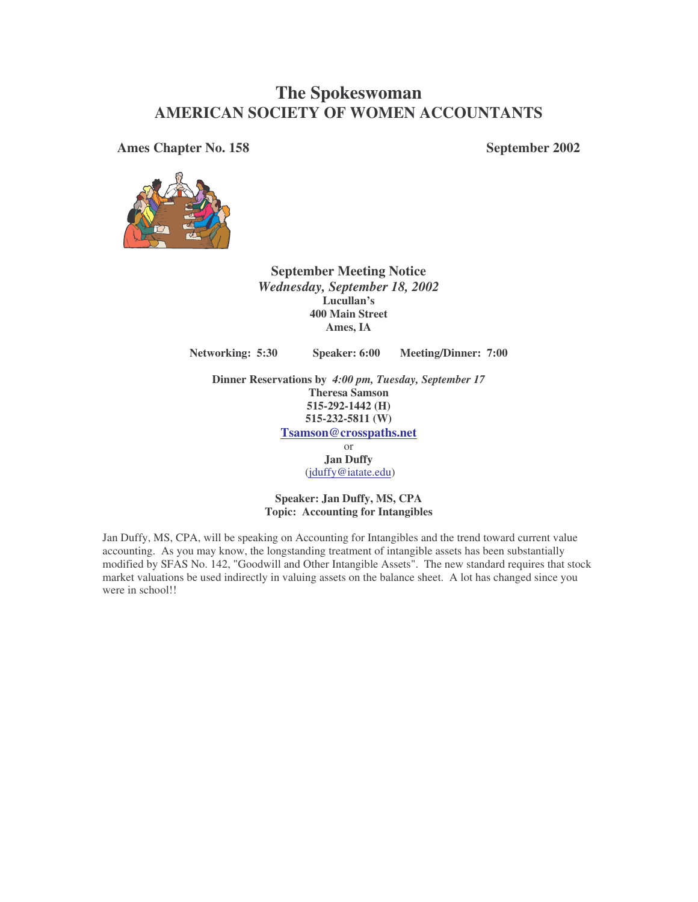# **The Spokeswoman AMERICAN SOCIETY OF WOMEN ACCOUNTANTS**

**Ames Chapter No. 158 September 2002**



**September Meeting Notice** *Wednesday, September 18, 2002* **Lucullan's 400 Main Street Ames, IA**

**Networking: 5:30 Speaker: 6:00 Meeting/Dinner: 7:00**

**Dinner Reservations by** *4:00 pm, Tuesday, September 17* **Theresa Samson 515-292-1442 (H) 515-232-5811 (W) Tsamson@crosspaths.net**

> or **Jan Duffy** (jduffy@iatate.edu)

**Speaker: Jan Duffy, MS, CPA Topic: Accounting for Intangibles**

Jan Duffy, MS, CPA, will be speaking on Accounting for Intangibles and the trend toward current value accounting. As you may know, the longstanding treatment of intangible assets has been substantially modified by SFAS No. 142, "Goodwill and Other Intangible Assets". The new standard requires that stock market valuations be used indirectly in valuing assets on the balance sheet. A lot has changed since you were in school!!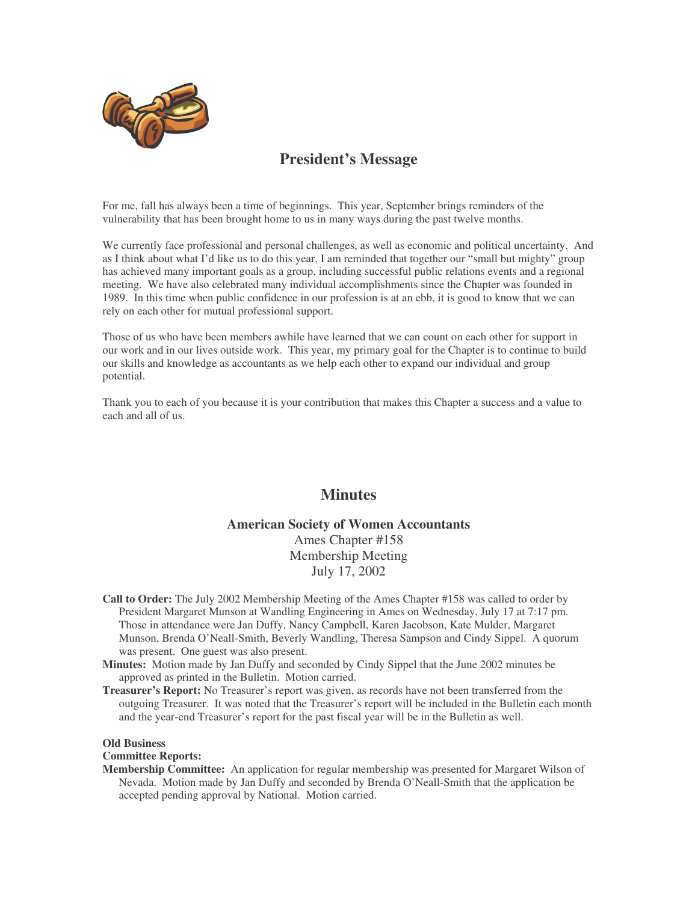

## **President's Message**

For me, fall has always been a time of beginnings. This year, September brings reminders of the vulnerability that has been brought home to us in many ways during the past twelve months.

We currently face professional and personal challenges, as well as economic and political uncertainty. And as I think about what I'd like us to do this year, I am reminded that together our "small but mighty" group has achieved many important goals as a group, including successful public relations events and a regional meeting. We have also celebrated many individual accomplishments since the Chapter was founded in 1989. In this time when public confidence in our profession is at an ebb, it is good to know that we can rely on each other for mutual professional support.

Those of us who have been members awhile have learned that we can count on each other for support in our work and in our lives outside work. This year, my primary goal for the Chapter is to continue to build our skills and knowledge as accountants as we help each other to expand our individual and group potential.

Thank you to each of you because it is your contribution that makes this Chapter a success and a value to each and all of us.

### **Minutes**

### **American Society of Women Accountants** Ames Chapter #158 Membership Meeting July 17, 2002

- **Call to Order:** The July 2002 Membership Meeting of the Ames Chapter #158 was called to order by President Margaret Munson at Wandling Engineering in Ames on Wednesday, July 17 at 7:17 pm. Those in attendance were Jan Duffy, Nancy Campbell, Karen Jacobson, Kate Mulder, Margaret Munson, Brenda O'Neall-Smith, Beverly Wandling, Theresa Sampson and Cindy Sippel. A quorum was present. One guest was also present.
- **Minutes:** Motion made by Jan Duffy and seconded by Cindy Sippel that the June 2002 minutes be approved as printed in the Bulletin. Motion carried.
- **Treasurer's Report:** No Treasurer's report was given, as records have not been transferred from the outgoing Treasurer. It was noted that the Treasurer's report will be included in the Bulletin each month and the year-end Treasurer's report for the past fiscal year will be in the Bulletin as well.

#### **Old Business**

#### **Committee Reports:**

**Membership Committee:** An application for regular membership was presented for Margaret Wilson of Nevada. Motion made by Jan Duffy and seconded by Brenda O'Neall-Smith that the application be accepted pending approval by National. Motion carried.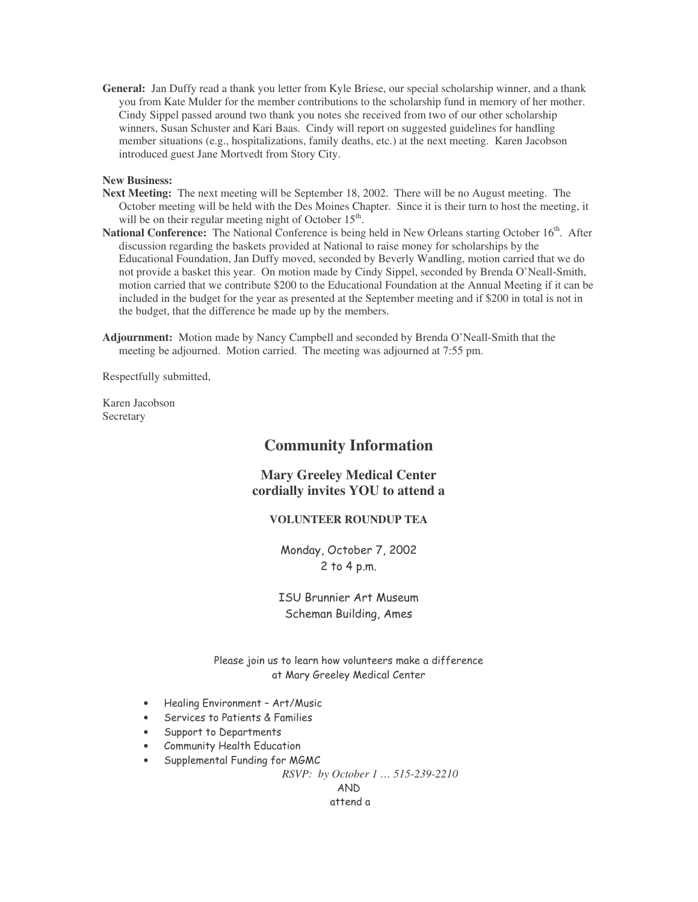**General:** Jan Duffy read a thank you letter from Kyle Briese, our special scholarship winner, and a thank you from Kate Mulder for the member contributions to the scholarship fund in memory of her mother. Cindy Sippel passed around two thank you notes she received from two of our other scholarship winners, Susan Schuster and Kari Baas. Cindy will report on suggested guidelines for handling member situations (e.g., hospitalizations, family deaths, etc.) at the next meeting. Karen Jacobson introduced guest Jane Mortvedt from Story City.

#### **New Business:**

- **Next Meeting:** The next meeting will be September 18, 2002. There will be no August meeting. The October meeting will be held with the Des Moines Chapter. Since it is their turn to host the meeting, it will be on their regular meeting night of October 15<sup>th</sup>.
- National Conference: The National Conference is being held in New Orleans starting October 16<sup>th</sup>. After discussion regarding the baskets provided at National to raise money for scholarships by the Educational Foundation, Jan Duffy moved, seconded by Beverly Wandling, motion carried that we do not provide a basket this year. On motion made by Cindy Sippel, seconded by Brenda O'Neall-Smith, motion carried that we contribute \$200 to the Educational Foundation at the Annual Meeting if it can be included in the budget for the year as presented at the September meeting and if \$200 in total is not in the budget, that the difference be made up by the members.

**Adjournment:** Motion made by Nancy Campbell and seconded by Brenda O'Neall-Smith that the meeting be adjourned. Motion carried. The meeting was adjourned at 7:55 pm.

Respectfully submitted,

Karen Jacobson Secretary

### **Community Information**

### **Mary Greeley Medical Center cordially invites YOU to attend a**

### **VOLUNTEER ROUNDUP TEA**

Monday, October 7, 2002  $2$  to  $4$  p.m.

ISU Brunnier Art Museum Scheman Building, Ames

Please join us to learn how volunteers make a difference at Mary Greeley Medical Center

- Healing Environment Art/Music
- $\bullet$  Services to Patients & Families
- Support to Departments
- Community Health Education
- $\bullet$  Supplemental Funding for MGMC

*RSVP: by October 1 … 515-239-2210*

AND attend a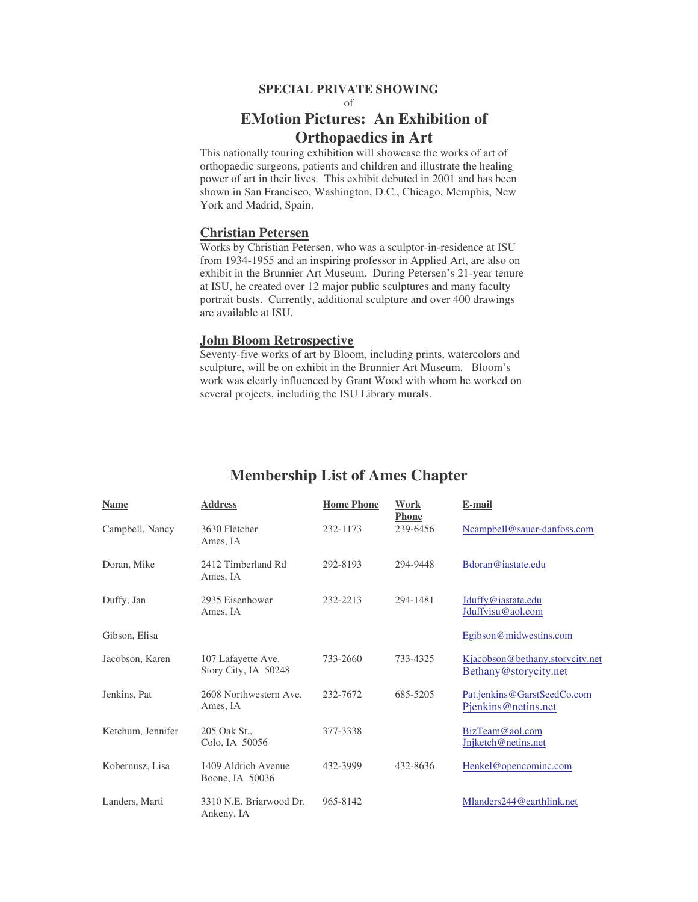#### **SPECIAL PRIVATE SHOWING**

of

## **EMotion Pictures: An Exhibition of Orthopaedics in Art**

This nationally touring exhibition will showcase the works of art of orthopaedic surgeons, patients and children and illustrate the healing power of art in their lives. This exhibit debuted in 2001 and has been shown in San Francisco, Washington, D.C., Chicago, Memphis, New York and Madrid, Spain.

### **Christian Petersen**

Works by Christian Petersen, who was a sculptor-in-residence at ISU from 1934-1955 and an inspiring professor in Applied Art, are also on exhibit in the Brunnier Art Museum. During Petersen's 21-year tenure at ISU, he created over 12 major public sculptures and many faculty portrait busts. Currently, additional sculpture and over 400 drawings are available at ISU.

#### **John Bloom Retrospective**

Seventy-five works of art by Bloom, including prints, watercolors and sculpture, will be on exhibit in the Brunnier Art Museum. Bloom's work was clearly influenced by Grant Wood with whom he worked on several projects, including the ISU Library murals.

| <b>Name</b>       | <b>Address</b>                             | <b>Home Phone</b> | Work<br><b>Phone</b> | E-mail                                                   |
|-------------------|--------------------------------------------|-------------------|----------------------|----------------------------------------------------------|
| Campbell, Nancy   | 3630 Fletcher<br>Ames, IA                  | 232-1173          | 239-6456             | Ncampbell@sauer-danfoss.com                              |
| Doran, Mike       | 2412 Timberland Rd<br>Ames, IA             | 292-8193          | 294-9448             | Bdoran@iastate.edu                                       |
| Duffy, Jan        | 2935 Eisenhower<br>Ames, IA                | 232-2213          | 294-1481             | Jduffy@iastate.edu<br>Jduffyisu@aol.com                  |
| Gibson, Elisa     |                                            |                   |                      | Egibson@midwestins.com                                   |
| Jacobson, Karen   | 107 Lafayette Ave.<br>Story City, IA 50248 | 733-2660          | 733-4325             | Kjacobson@bethany.storycity.net<br>Bethany@storycity.net |
| Jenkins, Pat      | 2608 Northwestern Ave.<br>Ames, IA         | 232-7672          | 685-5205             | Pat.jenkins@GarstSeedCo.com<br>Pienkins@netins.net       |
| Ketchum, Jennifer | 205 Oak St.,<br>Colo, IA 50056             | 377-3338          |                      | BizTeam@aol.com<br>Jnjketch@netins.net                   |
| Kobernusz, Lisa   | 1409 Aldrich Avenue<br>Boone, IA 50036     | 432-3999          | 432-8636             | Henkel@opencominc.com                                    |
| Landers, Marti    | 3310 N.E. Briarwood Dr.<br>Ankeny, IA      | 965-8142          |                      | Mlanders244@earthlink.net                                |

## **Membership List of Ames Chapter**